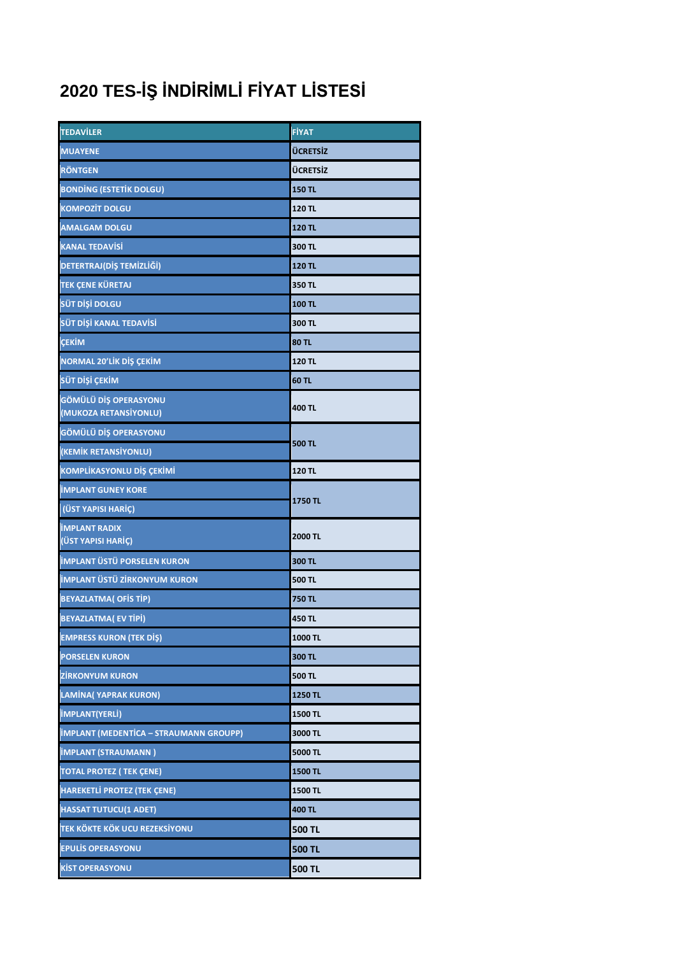## **2020 TES-İŞ İNDİRİMLİ FİYAT LİSTESİ**

| <b>TEDAVILER</b>                               | <b>FİYAT</b>    |
|------------------------------------------------|-----------------|
| <b>MUAYENE</b>                                 | <b>ÜCRETSİZ</b> |
| <b>RÖNTGEN</b>                                 | <b>ÜCRETSİZ</b> |
| <b>BONDING (ESTETIK DOLGU)</b>                 | <b>150 TL</b>   |
| <b>KOMPOZİT DOLGU</b>                          | 120 TL          |
| <b>AMALGAM DOLGU</b>                           | 120 TL          |
| <b>KANAL TEDAVISI</b>                          | 300 TL          |
| <b>DETERTRAJ(DİŞ TEMİZLİĞİ)</b>                | <b>120 TL</b>   |
| <b>TEK ÇENE KÜRETAJ</b>                        | 350 TL          |
| SÜT DİŞİ DOLGU                                 | 100 TL          |
| SÜT DİŞİ KANAL TEDAVİSİ                        | 300 TL          |
| <b>ÇEKİM</b>                                   | <b>80 TL</b>    |
| NORMAL 20'LİK DİŞ ÇEKİM                        | 120 TL          |
| SÜT DİŞİ ÇEKİM                                 | 60 TL           |
| GÖMÜLÜ DİŞ OPERASYONU<br>(MUKOZA RETANSİYONLU) | 400 TL          |
| GÖMÜLÜ DİŞ OPERASYONU                          | <b>500 TL</b>   |
| (KEMİK RETANSİYONLU)                           |                 |
| KOMPLİKASYONLU DİŞ ÇEKİMİ                      | 120 TL          |
| <b>IMPLANT GUNEY KORE</b>                      | <b>1750 TL</b>  |
| (ÜST YAPISI HARIÇ)                             |                 |
| <b>IMPLANT RADIX</b><br>(ÜST YAPISI HARİÇ)     | 2000 TL         |
| <b>İMPLANT ÜSTÜ PORSELEN KURON</b>             | 300 TL          |
| <b>İMPLANT ÜSTÜ ZİRKONYUM KURON</b>            | 500 TL          |
| <b>BEYAZLATMA( OFIS TIP)</b>                   | <b>750 TL</b>   |
| <b>BEYAZLATMA(EV TIPI)</b>                     | 450 TL          |
| <b>EMPRESS KURON (TEK DIŞ)</b>                 | 1000 TL         |
| <b>PORSELEN KURON</b>                          | 300 TL          |
| <b>ZİRKONYUM KURON</b>                         | 500 TL          |
| <b>LAMINA</b> (YAPRAK KURON)                   | 1250 TL         |
| <b>IMPLANT(YERLI)</b>                          | 1500 TL         |
| <b>IMPLANT (MEDENTICA - STRAUMANN GROUPP)</b>  | 3000 TL         |
| <b>IMPLANT (STRAUMANN)</b>                     | 5000 TL         |
| <b>TOTAL PROTEZ (TEK ÇENE)</b>                 | 1500 TL         |
| <b>HAREKETLİ PROTEZ (TEK ÇENE)</b>             | 1500 TL         |
| <b>HASSAT TUTUCU(1 ADET)</b>                   | 400 TL          |
| <b>TEK KÖKTE KÖK UCU REZEKSİYONU</b>           | <b>500 TL</b>   |
| <b>EPULIS OPERASYONU</b>                       | <b>500 TL</b>   |
| <b>KİST OPERASYONU</b>                         | <b>500 TL</b>   |